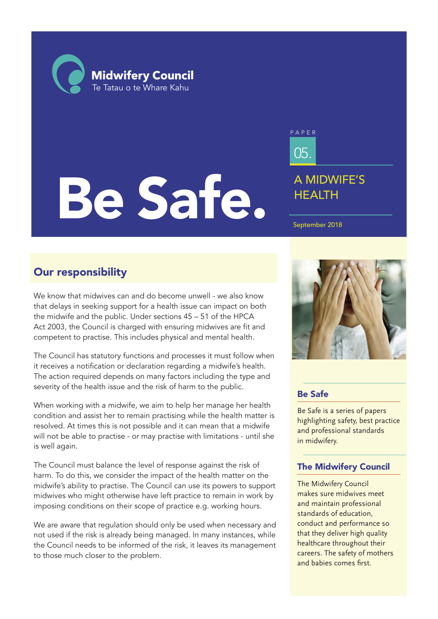**Midwifery Council** Te Tatau o te Whare Kahu

# Be Safe.

05. A MIDWIFE'S **HFALTH** 

PAPER

September 2018

# Our responsibility

We know that midwives can and do become unwell - we also know that delays in seeking support for a health issue can impact on both the midwife and the public. Under sections 45 – 51 of the HPCA Act 2003, the Council is charged with ensuring midwives are fit and competent to practise. This includes physical and mental health.

The Council has statutory functions and processes it must follow when it receives a notification or declaration regarding a midwife's health. The action required depends on many factors including the type and severity of the health issue and the risk of harm to the public.

When working with a midwife, we aim to help her manage her health condition and assist her to remain practising while the health matter is resolved. At times this is not possible and it can mean that a midwife will not be able to practise - or may practise with limitations - until she is well again.

The Council must balance the level of response against the risk of harm. To do this, we consider the impact of the health matter on the midwife's ability to practise. The Council can use its powers to support midwives who might otherwise have left practice to remain in work by imposing conditions on their scope of practice e.g. working hours.

We are aware that regulation should only be used when necessary and not used if the risk is already being managed. In many instances, while the Council needs to be informed of the risk, it leaves its management to those much closer to the problem.



### Be Safe

Be Safe is a series of papers highlighting safety, best practice and professional standards in midwifery.

### The Midwifery Council

The Midwifery Council makes sure midwives meet and maintain professional standards of education, conduct and performance so that they deliver high quality healthcare throughout their careers. The safety of mothers and babies comes first.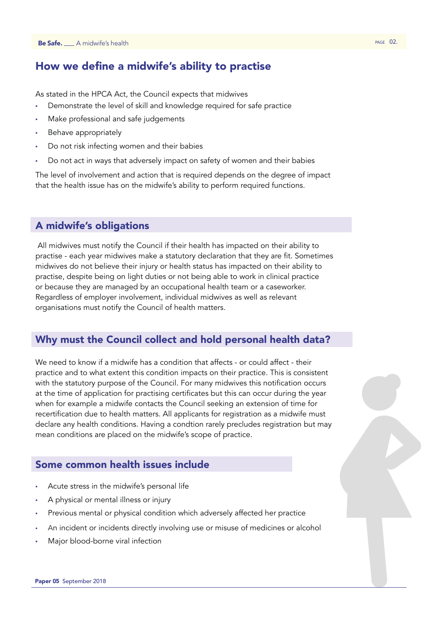# How we define a midwife's ability to practise

As stated in the HPCA Act, the Council expects that midwives

- Demonstrate the level of skill and knowledge required for safe practice
- Make professional and safe judgements
- Behave appropriately
- Do not risk infecting women and their babies
- Do not act in ways that adversely impact on safety of women and their babies

The level of involvement and action that is required depends on the degree of impact that the health issue has on the midwife's ability to perform required functions.

## A midwife's obligations

All midwives must notify the Council if their health has impacted on their ability to practise - each year midwives make a statutory declaration that they are fit. Sometimes midwives do not believe their injury or health status has impacted on their ability to practise, despite being on light duties or not being able to work in clinical practice or because they are managed by an occupational health team or a caseworker. Regardless of employer involvement, individual midwives as well as relevant organisations must notify the Council of health matters.

## Why must the Council collect and hold personal health data?

We need to know if a midwife has a condition that affects - or could affect - their practice and to what extent this condition impacts on their practice. This is consistent with the statutory purpose of the Council. For many midwives this notification occurs at the time of application for practising certificates but this can occur during the year when for example a midwife contacts the Council seeking an extension of time for recertification due to health matters. All applicants for registration as a midwife must declare any health conditions. Having a condtion rarely precludes registration but may mean conditions are placed on the midwife's scope of practice.

### Some common health issues include

- Acute stress in the midwife's personal life
- A physical or mental illness or injury
- Previous mental or physical condition which adversely affected her practice
- An incident or incidents directly involving use or misuse of medicines or alcohol
- Major blood-borne viral infection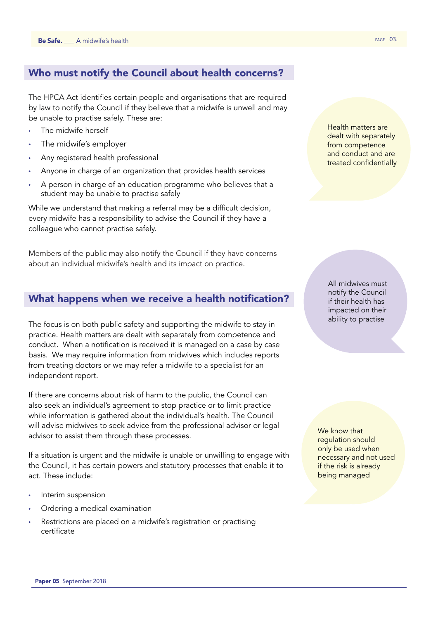### Who must notify the Council about health concerns?

The HPCA Act identifies certain people and organisations that are required by law to notify the Council if they believe that a midwife is unwell and may be unable to practise safely. These are:

- The midwife herself
- The midwife's employer
- Any registered health professional
- Anyone in charge of an organization that provides health services
- A person in charge of an education programme who believes that a student may be unable to practise safely

While we understand that making a referral may be a difficult decision, every midwife has a responsibility to advise the Council if they have a colleague who cannot practise safely.

Members of the public may also notify the Council if they have concerns about an individual midwife's health and its impact on practice.

### What happens when we receive a health notification?

The focus is on both public safety and supporting the midwife to stay in practice. Health matters are dealt with separately from competence and conduct. When a notification is received it is managed on a case by case basis. We may require information from midwives which includes reports from treating doctors or we may refer a midwife to a specialist for an independent report.

If there are concerns about risk of harm to the public, the Council can also seek an individual's agreement to stop practice or to limit practice while information is gathered about the individual's health. The Council will advise midwives to seek advice from the professional advisor or legal advisor to assist them through these processes.

If a situation is urgent and the midwife is unable or unwilling to engage with the Council, it has certain powers and statutory processes that enable it to act. These include:

- Interim suspension
- Ordering a medical examination
- Restrictions are placed on a midwife's registration or practising certificate

Health matters are dealt with separately from competence and conduct and are treated confidentially

All midwives must notify the Council if their health has impacted on their ability to practise

We know that regulation should only be used when necessary and not used if the risk is already being managed